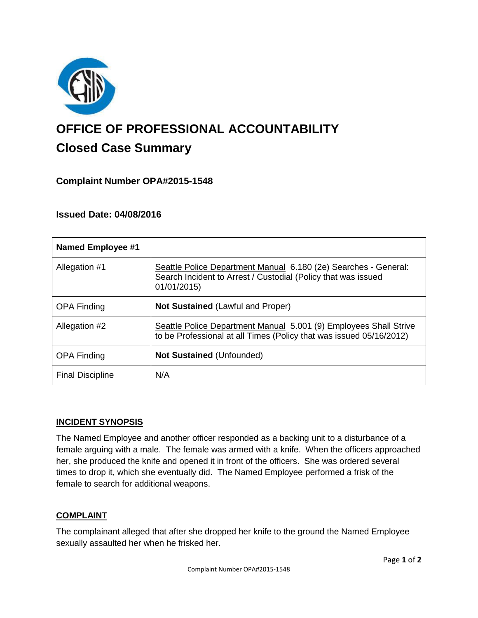

# **OFFICE OF PROFESSIONAL ACCOUNTABILITY Closed Case Summary**

## **Complaint Number OPA#2015-1548**

## **Issued Date: 04/08/2016**

| <b>Named Employee #1</b> |                                                                                                                                                 |
|--------------------------|-------------------------------------------------------------------------------------------------------------------------------------------------|
| Allegation #1            | Seattle Police Department Manual 6.180 (2e) Searches - General:<br>Search Incident to Arrest / Custodial (Policy that was issued<br>01/01/2015) |
| <b>OPA Finding</b>       | <b>Not Sustained (Lawful and Proper)</b>                                                                                                        |
| Allegation #2            | Seattle Police Department Manual 5.001 (9) Employees Shall Strive<br>to be Professional at all Times (Policy that was issued 05/16/2012)        |
| <b>OPA Finding</b>       | <b>Not Sustained (Unfounded)</b>                                                                                                                |
| <b>Final Discipline</b>  | N/A                                                                                                                                             |

## **INCIDENT SYNOPSIS**

The Named Employee and another officer responded as a backing unit to a disturbance of a female arguing with a male. The female was armed with a knife. When the officers approached her, she produced the knife and opened it in front of the officers. She was ordered several times to drop it, which she eventually did. The Named Employee performed a frisk of the female to search for additional weapons.

## **COMPLAINT**

The complainant alleged that after she dropped her knife to the ground the Named Employee sexually assaulted her when he frisked her.